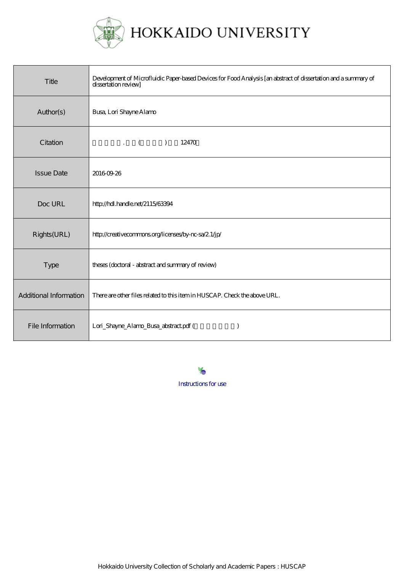

HOKKAIDO UNIVERSITY

| Title                  | Development of Microfluidic Paper-based Devices for Food Analysis [an abstract of dissertation and a summary of<br>dissertation review] |
|------------------------|-----------------------------------------------------------------------------------------------------------------------------------------|
| Author(s)              | <b>Busa, Lori Shayne Alamo</b>                                                                                                          |
| Citation               | $\mathcal{L} = \begin{pmatrix} 1 & 1 \\ 1 & 1 \end{pmatrix}$<br>$\overline{)}$<br>12470                                                 |
| <b>Issue Date</b>      | 20160926                                                                                                                                |
| Doc URL                | http://hdl.handle.net/2115/63394                                                                                                        |
| Rights(URL)            | http://creativecommons.org/licenses/by-nc-sa/2.1/jp/                                                                                    |
| <b>Type</b>            | theses (doctoral - abstract and summary of review)                                                                                      |
| Additional Information | There are other files related to this item in HUSCAP. Check the above URL.                                                              |
| File Information       | Lori_Shayne_Alamo_Busa_abstract.pdf (                                                                                                   |

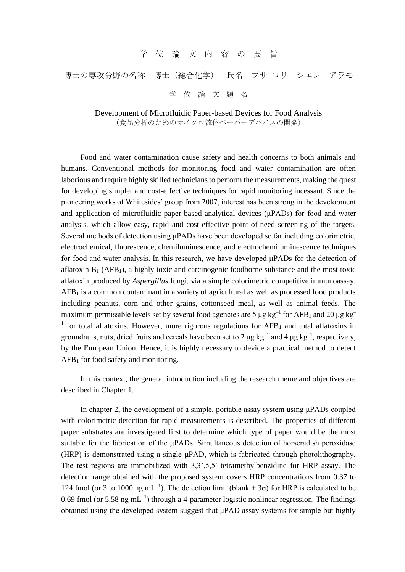## 学 位 論 文 内 容 の 要 旨

## 博士の専攻分野の名称 博士(総合化学) 氏名 ブサ ロリ シエン アラモ

学 位 論 文 題 名

Development of Microfluidic Paper-based Devices for Food Analysis (食品分析のためのマイクロ流体ペーパーデバイスの開発)

Food and water contamination cause safety and health concerns to both animals and humans. Conventional methods for monitoring food and water contamination are often laborious and require highly skilled technicians to perform the measurements, making the quest for developing simpler and cost-effective techniques for rapid monitoring incessant. Since the pioneering works of Whitesides' group from 2007, interest has been strong in the development and application of microfluidic paper-based analytical devices (μPADs) for food and water analysis, which allow easy, rapid and cost-effective point-of-need screening of the targets. Several methods of detection using μPADs have been developed so far including colorimetric, electrochemical, fluorescence, chemiluminescence, and electrochemiluminescence techniques for food and water analysis. In this research, we have developed μPADs for the detection of aflatoxin  $B_1$  (AFB<sub>1</sub>), a highly toxic and carcinogenic foodborne substance and the most toxic aflatoxin produced by *Aspergillus* fungi, via a simple colorimetric competitive immunoassay.  $AFB<sub>1</sub>$  is a common contaminant in a variety of agricultural as well as processed food products including peanuts, corn and other grains, cottonseed meal, as well as animal feeds. The maximum permissible levels set by several food agencies are 5  $\mu$ g kg<sup>-1</sup> for AFB<sub>1</sub> and 20  $\mu$ g kg<sup>-</sup> <sup>1</sup> for total aflatoxins. However, more rigorous regulations for  $AFB<sub>1</sub>$  and total aflatoxins in groundnuts, nuts, dried fruits and cereals have been set to 2  $\mu$ g kg<sup>-1</sup> and 4  $\mu$ g kg<sup>-1</sup>, respectively, by the European Union. Hence, it is highly necessary to device a practical method to detect  $AFB<sub>1</sub>$  for food safety and monitoring.

In this context, the general introduction including the research theme and objectives are described in Chapter 1.

In chapter 2, the development of a simple, portable assay system using μPADs coupled with colorimetric detection for rapid measurements is described. The properties of different paper substrates are investigated first to determine which type of paper would be the most suitable for the fabrication of the μPADs. Simultaneous detection of horseradish peroxidase (HRP) is demonstrated using a single μPAD, which is fabricated through photolithography. The test regions are immobilized with 3,3',5,5'-tetramethylbenzidine for HRP assay. The detection range obtained with the proposed system covers HRP concentrations from 0.37 to 124 fmol (or 3 to 1000 ng mL<sup>-1</sup>). The detection limit (blank + 3 $\sigma$ ) for HRP is calculated to be 0.69 fmol (or 5.58 ng mL<sup>-1</sup>) through a 4-parameter logistic nonlinear regression. The findings obtained using the developed system suggest that μPAD assay systems for simple but highly